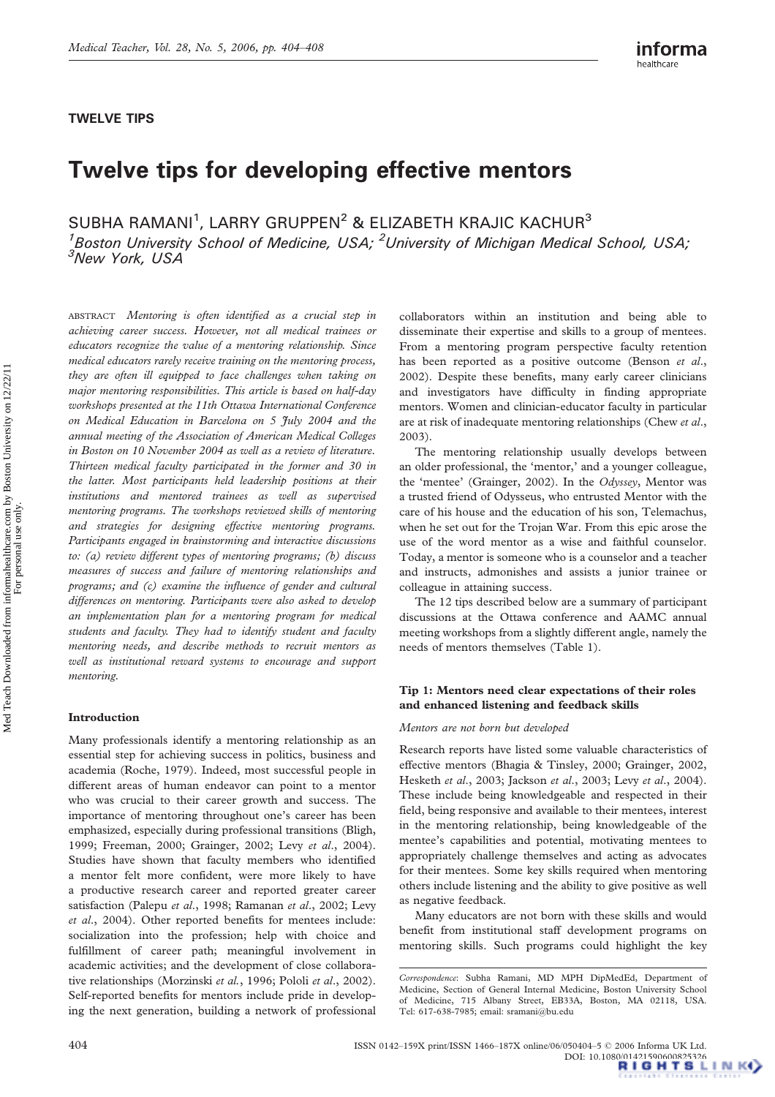#### TWELVE TIPS

# Twelve tips for developing effective mentors

SUBHA RAMANI<sup>1</sup>, LARRY GRUPPEN<sup>2</sup> & ELIZABETH KRAJIC KACHUR<sup>3</sup> 1Boston University School of Medicine, USA; <sup>2</sup>University of Michigan Medical School, USA;<br><sup>3</sup>New York, USA <sup>3</sup>New York, USA

ABSTRACT Mentoring is often identified as a crucial step in achieving career success. However, not all medical trainees or educators recognize the value of a mentoring relationship. Since medical educators rarely receive training on the mentoring process, they are often ill equipped to face challenges when taking on major mentoring responsibilities. This article is based on half-day workshops presented at the 11th Ottawa International Conference on Medical Education in Barcelona on 5 July 2004 and the annual meeting of the Association of American Medical Colleges in Boston on 10 November 2004 as well as a review of literature. Thirteen medical faculty participated in the former and 30 in the latter. Most participants held leadership positions at their institutions and mentored trainees as well as supervised mentoring programs. The workshops reviewed skills of mentoring and strategies for designing effective mentoring programs. Participants engaged in brainstorming and interactive discussions to: (a) review different types of mentoring programs; (b) discuss measures of success and failure of mentoring relationships and programs; and (c) examine the influence of gender and cultural differences on mentoring. Participants were also asked to develop an implementation plan for a mentoring program for medical students and faculty. They had to identify student and faculty mentoring needs, and describe methods to recruit mentors as well as institutional reward systems to encourage and support mentoring.

#### Introduction

Many professionals identify a mentoring relationship as an essential step for achieving success in politics, business and academia (Roche, 1979). Indeed, most successful people in different areas of human endeavor can point to a mentor who was crucial to their career growth and success. The importance of mentoring throughout one's career has been emphasized, especially during professional transitions (Bligh, 1999; Freeman, 2000; Grainger, 2002; Levy et al., 2004). Studies have shown that faculty members who identified a mentor felt more confident, were more likely to have a productive research career and reported greater career satisfaction (Palepu et al., 1998; Ramanan et al., 2002; Levy et al., 2004). Other reported benefits for mentees include: socialization into the profession; help with choice and fulfillment of career path; meaningful involvement in academic activities; and the development of close collaborative relationships (Morzinski et al., 1996; Pololi et al., 2002). Self-reported benefits for mentors include pride in developing the next generation, building a network of professional collaborators within an institution and being able to disseminate their expertise and skills to a group of mentees. From a mentoring program perspective faculty retention has been reported as a positive outcome (Benson et al., 2002). Despite these benefits, many early career clinicians and investigators have difficulty in finding appropriate mentors. Women and clinician-educator faculty in particular are at risk of inadequate mentoring relationships (Chew et al., 2003).

The mentoring relationship usually develops between an older professional, the 'mentor,' and a younger colleague, the 'mentee' (Grainger, 2002). In the Odyssey, Mentor was a trusted friend of Odysseus, who entrusted Mentor with the care of his house and the education of his son, Telemachus, when he set out for the Trojan War. From this epic arose the use of the word mentor as a wise and faithful counselor. Today, a mentor is someone who is a counselor and a teacher and instructs, admonishes and assists a junior trainee or colleague in attaining success.

The 12 tips described below are a summary of participant discussions at the Ottawa conference and AAMC annual meeting workshops from a slightly different angle, namely the needs of mentors themselves (Table 1).

## Tip 1: Mentors need clear expectations of their roles and enhanced listening and feedback skills

#### Mentors are not born but developed

Research reports have listed some valuable characteristics of effective mentors (Bhagia & Tinsley, 2000; Grainger, 2002, Hesketh et al., 2003; Jackson et al., 2003; Levy et al., 2004). These include being knowledgeable and respected in their field, being responsive and available to their mentees, interest in the mentoring relationship, being knowledgeable of the mentee's capabilities and potential, motivating mentees to appropriately challenge themselves and acting as advocates for their mentees. Some key skills required when mentoring others include listening and the ability to give positive as well as negative feedback.

Many educators are not born with these skills and would benefit from institutional staff development programs on mentoring skills. Such programs could highlight the key

Correspondence: Subha Ramani, MD MPH DipMedEd, Department of Medicine, Section of General Internal Medicine, Boston University School of Medicine, 715 Albany Street, EB33A, Boston, MA 02118, USA. Tel: 617-638-7985; email: sramani@bu.edu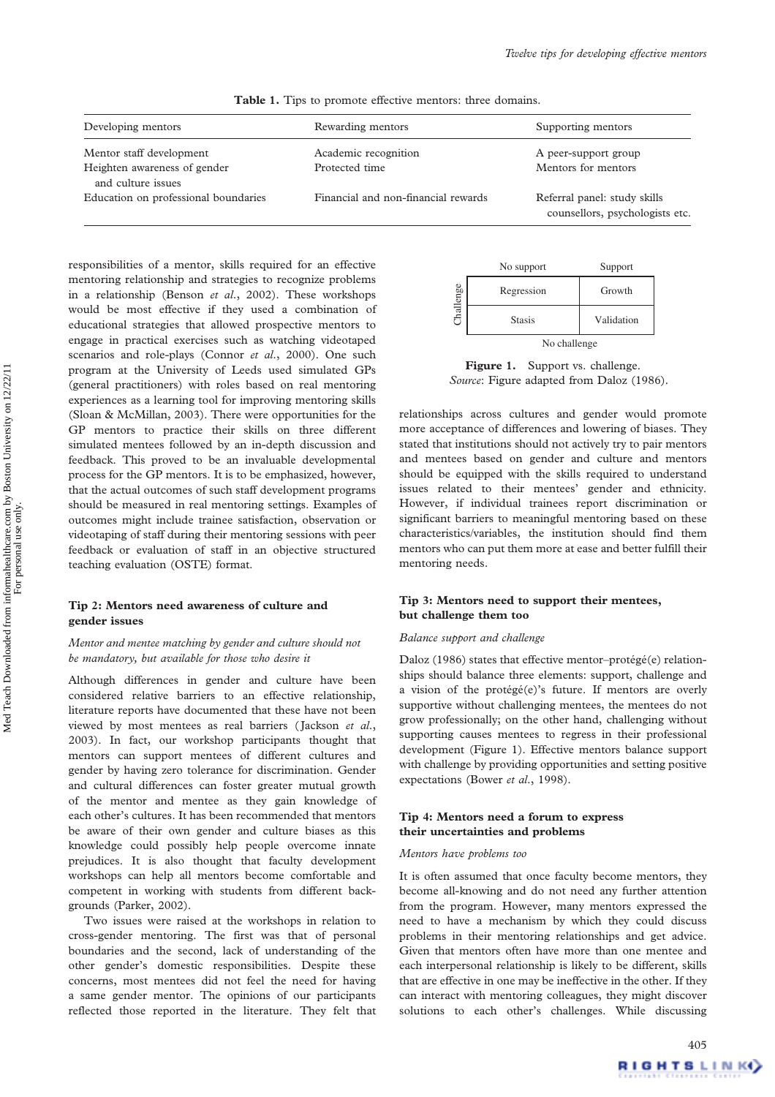| Developing mentors                                 | Rewarding mentors                   | Supporting mentors                                              |
|----------------------------------------------------|-------------------------------------|-----------------------------------------------------------------|
|                                                    |                                     |                                                                 |
| Mentor staff development                           | Academic recognition                | A peer-support group                                            |
| Heighten awareness of gender<br>and culture issues | Protected time                      | Mentors for mentors                                             |
| Education on professional boundaries               | Financial and non-financial rewards | Referral panel: study skills<br>counsellors, psychologists etc. |

Table 1. Tips to promote effective mentors: three domains.

responsibilities of a mentor, skills required for an effective mentoring relationship and strategies to recognize problems in a relationship (Benson et al., 2002). These workshops would be most effective if they used a combination of educational strategies that allowed prospective mentors to engage in practical exercises such as watching videotaped scenarios and role-plays (Connor et al., 2000). One such program at the University of Leeds used simulated GPs (general practitioners) with roles based on real mentoring experiences as a learning tool for improving mentoring skills (Sloan & McMillan, 2003). There were opportunities for the GP mentors to practice their skills on three different simulated mentees followed by an in-depth discussion and feedback. This proved to be an invaluable developmental process for the GP mentors. It is to be emphasized, however, that the actual outcomes of such staff development programs should be measured in real mentoring settings. Examples of outcomes might include trainee satisfaction, observation or videotaping of staff during their mentoring sessions with peer feedback or evaluation of staff in an objective structured teaching evaluation (OSTE) format.

## Tip 2: Mentors need awareness of culture and gender issues

## Mentor and mentee matching by gender and culture should not be mandatory, but available for those who desire it

Although differences in gender and culture have been considered relative barriers to an effective relationship, literature reports have documented that these have not been viewed by most mentees as real barriers (Jackson et al., 2003). In fact, our workshop participants thought that mentors can support mentees of different cultures and gender by having zero tolerance for discrimination. Gender and cultural differences can foster greater mutual growth of the mentor and mentee as they gain knowledge of each other's cultures. It has been recommended that mentors be aware of their own gender and culture biases as this knowledge could possibly help people overcome innate prejudices. It is also thought that faculty development workshops can help all mentors become comfortable and competent in working with students from different backgrounds (Parker, 2002).

Two issues were raised at the workshops in relation to cross-gender mentoring. The first was that of personal boundaries and the second, lack of understanding of the other gender's domestic responsibilities. Despite these concerns, most mentees did not feel the need for having a same gender mentor. The opinions of our participants reflected those reported in the literature. They felt that



Figure 1. Support vs. challenge. Source: Figure adapted from Daloz (1986).

relationships across cultures and gender would promote more acceptance of differences and lowering of biases. They stated that institutions should not actively try to pair mentors and mentees based on gender and culture and mentors should be equipped with the skills required to understand issues related to their mentees' gender and ethnicity. However, if individual trainees report discrimination or significant barriers to meaningful mentoring based on these characteristics/variables, the institution should find them mentors who can put them more at ease and better fulfill their mentoring needs.

## Tip 3: Mentors need to support their mentees, but challenge them too

### Balance support and challenge

Daloz (1986) states that effective mentor–protégé(e) relationships should balance three elements: support, challenge and a vision of the protégé $(e)$ 's future. If mentors are overly supportive without challenging mentees, the mentees do not grow professionally; on the other hand, challenging without supporting causes mentees to regress in their professional development (Figure 1). Effective mentors balance support with challenge by providing opportunities and setting positive expectations (Bower et al., 1998).

## Tip 4: Mentors need a forum to express their uncertainties and problems

#### Mentors have problems too

It is often assumed that once faculty become mentors, they become all-knowing and do not need any further attention from the program. However, many mentors expressed the need to have a mechanism by which they could discuss problems in their mentoring relationships and get advice. Given that mentors often have more than one mentee and each interpersonal relationship is likely to be different, skills that are effective in one may be ineffective in the other. If they can interact with mentoring colleagues, they might discover solutions to each other's challenges. While discussing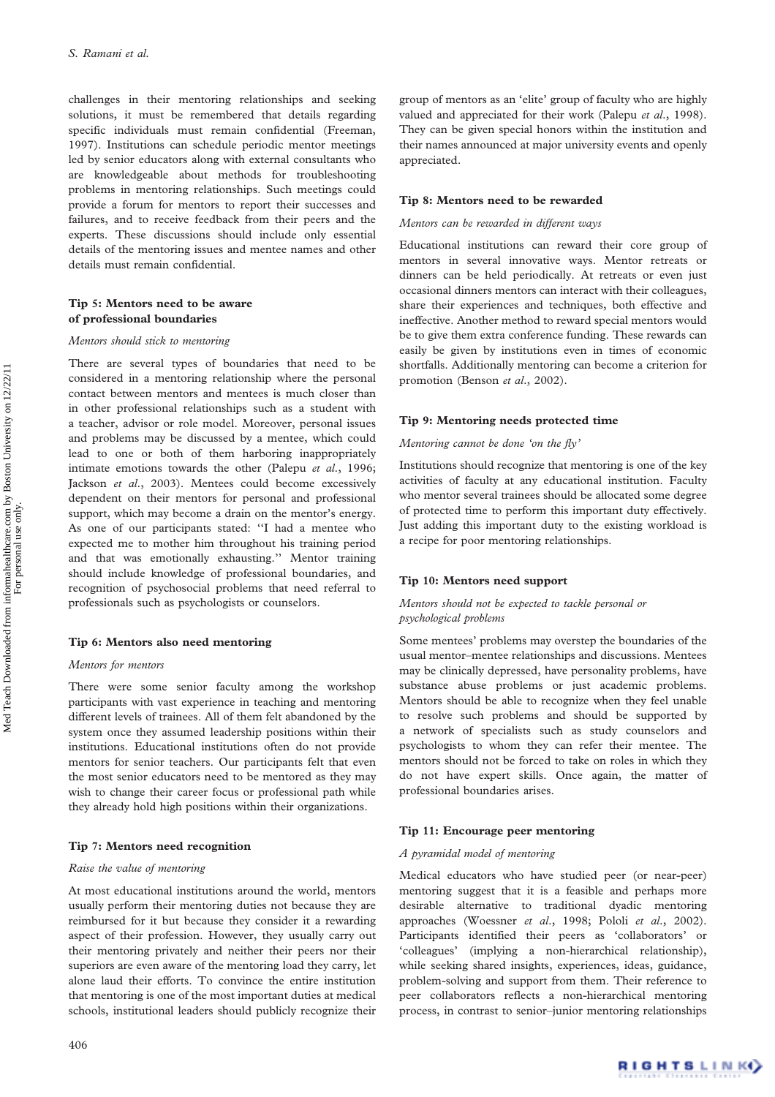challenges in their mentoring relationships and seeking solutions, it must be remembered that details regarding specific individuals must remain confidential (Freeman, 1997). Institutions can schedule periodic mentor meetings led by senior educators along with external consultants who are knowledgeable about methods for troubleshooting problems in mentoring relationships. Such meetings could provide a forum for mentors to report their successes and failures, and to receive feedback from their peers and the experts. These discussions should include only essential details of the mentoring issues and mentee names and other details must remain confidential.

### Tip 5: Mentors need to be aware of professional boundaries

## Mentors should stick to mentoring

There are several types of boundaries that need to be considered in a mentoring relationship where the personal contact between mentors and mentees is much closer than in other professional relationships such as a student with a teacher, advisor or role model. Moreover, personal issues and problems may be discussed by a mentee, which could lead to one or both of them harboring inappropriately intimate emotions towards the other (Palepu et al., 1996; Jackson et al., 2003). Mentees could become excessively dependent on their mentors for personal and professional support, which may become a drain on the mentor's energy. As one of our participants stated: ''I had a mentee who expected me to mother him throughout his training period and that was emotionally exhausting.'' Mentor training should include knowledge of professional boundaries, and recognition of psychosocial problems that need referral to professionals such as psychologists or counselors.

### Tip 6: Mentors also need mentoring

### Mentors for mentors

There were some senior faculty among the workshop participants with vast experience in teaching and mentoring different levels of trainees. All of them felt abandoned by the system once they assumed leadership positions within their institutions. Educational institutions often do not provide mentors for senior teachers. Our participants felt that even the most senior educators need to be mentored as they may wish to change their career focus or professional path while they already hold high positions within their organizations.

#### Tip 7: Mentors need recognition

#### Raise the value of mentoring

At most educational institutions around the world, mentors usually perform their mentoring duties not because they are reimbursed for it but because they consider it a rewarding aspect of their profession. However, they usually carry out their mentoring privately and neither their peers nor their superiors are even aware of the mentoring load they carry, let alone laud their efforts. To convince the entire institution that mentoring is one of the most important duties at medical schools, institutional leaders should publicly recognize their

group of mentors as an 'elite' group of faculty who are highly valued and appreciated for their work (Palepu et al., 1998). They can be given special honors within the institution and their names announced at major university events and openly appreciated.

#### Tip 8: Mentors need to be rewarded

## Mentors can be rewarded in different ways

Educational institutions can reward their core group of mentors in several innovative ways. Mentor retreats or dinners can be held periodically. At retreats or even just occasional dinners mentors can interact with their colleagues, share their experiences and techniques, both effective and ineffective. Another method to reward special mentors would be to give them extra conference funding. These rewards can easily be given by institutions even in times of economic shortfalls. Additionally mentoring can become a criterion for promotion (Benson et al., 2002).

## Tip 9: Mentoring needs protected time

#### Mentoring cannot be done 'on the fly'

Institutions should recognize that mentoring is one of the key activities of faculty at any educational institution. Faculty who mentor several trainees should be allocated some degree of protected time to perform this important duty effectively. Just adding this important duty to the existing workload is a recipe for poor mentoring relationships.

#### Tip 10: Mentors need support

## Mentors should not be expected to tackle personal or psychological problems

Some mentees' problems may overstep the boundaries of the usual mentor–mentee relationships and discussions. Mentees may be clinically depressed, have personality problems, have substance abuse problems or just academic problems. Mentors should be able to recognize when they feel unable to resolve such problems and should be supported by a network of specialists such as study counselors and psychologists to whom they can refer their mentee. The mentors should not be forced to take on roles in which they do not have expert skills. Once again, the matter of professional boundaries arises.

#### Tip 11: Encourage peer mentoring

## A pyramidal model of mentoring

Medical educators who have studied peer (or near-peer) mentoring suggest that it is a feasible and perhaps more desirable alternative to traditional dyadic mentoring approaches (Woessner et al., 1998; Pololi et al., 2002). Participants identified their peers as 'collaborators' or 'colleagues' (implying a non-hierarchical relationship), while seeking shared insights, experiences, ideas, guidance, problem-solving and support from them. Their reference to peer collaborators reflects a non-hierarchical mentoring process, in contrast to senior–junior mentoring relationships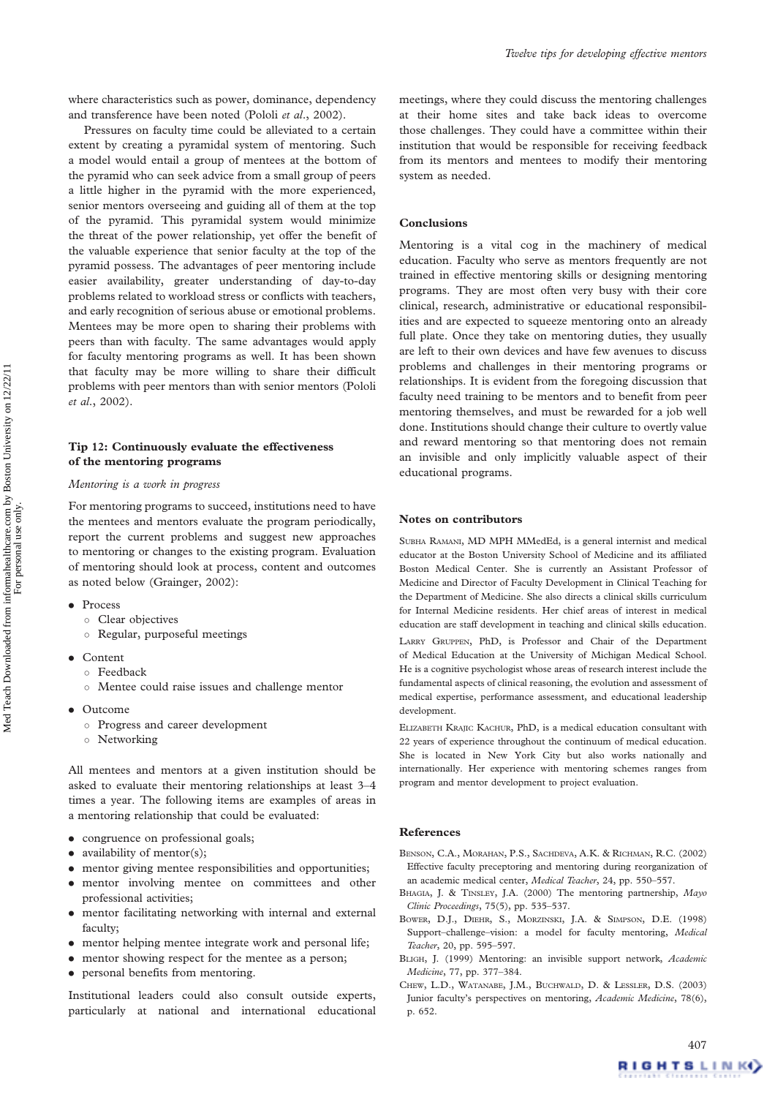where characteristics such as power, dominance, dependency and transference have been noted (Pololi et al., 2002).

Pressures on faculty time could be alleviated to a certain extent by creating a pyramidal system of mentoring. Such a model would entail a group of mentees at the bottom of the pyramid who can seek advice from a small group of peers a little higher in the pyramid with the more experienced, senior mentors overseeing and guiding all of them at the top of the pyramid. This pyramidal system would minimize the threat of the power relationship, yet offer the benefit of the valuable experience that senior faculty at the top of the pyramid possess. The advantages of peer mentoring include easier availability, greater understanding of day-to-day problems related to workload stress or conflicts with teachers, and early recognition of serious abuse or emotional problems. Mentees may be more open to sharing their problems with peers than with faculty. The same advantages would apply for faculty mentoring programs as well. It has been shown that faculty may be more willing to share their difficult problems with peer mentors than with senior mentors (Pololi et al., 2002).

## Tip 12: Continuously evaluate the effectiveness of the mentoring programs

## Mentoring is a work in progress

For mentoring programs to succeed, institutions need to have the mentees and mentors evaluate the program periodically, report the current problems and suggest new approaches to mentoring or changes to the existing program. Evaluation of mentoring should look at process, content and outcomes as noted below (Grainger, 2002):

- Process
	- Clear objectives
	- Regular, purposeful meetings
- . Content
	- Feedback
	- Mentee could raise issues and challenge mentor
- . Outcome
	- Progress and career development
	- Networking

All mentees and mentors at a given institution should be asked to evaluate their mentoring relationships at least 3–4 times a year. The following items are examples of areas in a mentoring relationship that could be evaluated:

- congruence on professional goals;
- . availability of mentor(s);
- . mentor giving mentee responsibilities and opportunities;
- . mentor involving mentee on committees and other professional activities;
- . mentor facilitating networking with internal and external faculty;
- . mentor helping mentee integrate work and personal life;
- mentor showing respect for the mentee as a person;
- . personal benefits from mentoring.

Institutional leaders could also consult outside experts, particularly at national and international educational

meetings, where they could discuss the mentoring challenges at their home sites and take back ideas to overcome those challenges. They could have a committee within their institution that would be responsible for receiving feedback from its mentors and mentees to modify their mentoring system as needed.

## Conclusions

Mentoring is a vital cog in the machinery of medical education. Faculty who serve as mentors frequently are not trained in effective mentoring skills or designing mentoring programs. They are most often very busy with their core clinical, research, administrative or educational responsibilities and are expected to squeeze mentoring onto an already full plate. Once they take on mentoring duties, they usually are left to their own devices and have few avenues to discuss problems and challenges in their mentoring programs or relationships. It is evident from the foregoing discussion that faculty need training to be mentors and to benefit from peer mentoring themselves, and must be rewarded for a job well done. Institutions should change their culture to overtly value and reward mentoring so that mentoring does not remain an invisible and only implicitly valuable aspect of their educational programs.

## Notes on contributors

SUBHA RAMANI, MD MPH MMedEd, is a general internist and medical educator at the Boston University School of Medicine and its affiliated Boston Medical Center. She is currently an Assistant Professor of Medicine and Director of Faculty Development in Clinical Teaching for the Department of Medicine. She also directs a clinical skills curriculum for Internal Medicine residents. Her chief areas of interest in medical education are staff development in teaching and clinical skills education. LARRY GRUPPEN, PhD, is Professor and Chair of the Department of Medical Education at the University of Michigan Medical School. He is a cognitive psychologist whose areas of research interest include the fundamental aspects of clinical reasoning, the evolution and assessment of medical expertise, performance assessment, and educational leadership development.

ELIZABETH KRAJIC KACHUR, PhD, is a medical education consultant with 22 years of experience throughout the continuum of medical education. She is located in New York City but also works nationally and internationally. Her experience with mentoring schemes ranges from program and mentor development to project evaluation.

### References

- BENSON, C.A., MORAHAN, P.S., SACHDEVA, A.K. & RICHMAN, R.C. (2002) Effective faculty preceptoring and mentoring during reorganization of an academic medical center, Medical Teacher, 24, pp. 550–557.
- BHAGIA, J. & TINSLEY, J.A. (2000) The mentoring partnership,  $Mavo$ Clinic Proceedings, 75(5), pp. 535–537.
- BOWER, D.J., DIEHR, S., MORZINSKI, J.A. & SIMPSON, D.E. (1998) Support–challenge–vision: a model for faculty mentoring, Medical Teacher, 20, pp. 595–597.
- BLIGH, J. (1999) Mentoring: an invisible support network, Academic Medicine, 77, pp. 377–384.
- CHEW, L.D., WATANABE, J.M., BUCHWALD, D. & LESSLER, D.S. (2003) Junior faculty's perspectives on mentoring, Academic Medicine, 78(6), p. 652.